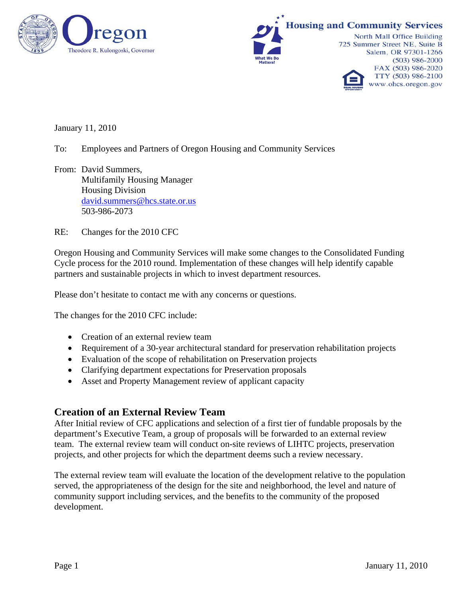



January 11, 2010

- To: Employees and Partners of Oregon Housing and Community Services
- From: David Summers, Multifamily Housing Manager Housing Division [david.summers@hcs.state.or.us](mailto:david.summers@hcs.state.or.us) 503-986-2073
- RE: Changes for the 2010 CFC

Oregon Housing and Community Services will make some changes to the Consolidated Funding Cycle process for the 2010 round. Implementation of these changes will help identify capable partners and sustainable projects in which to invest department resources.

Please don't hesitate to contact me with any concerns or questions.

The changes for the 2010 CFC include:

- Creation of an external review team
- Requirement of a 30-year architectural standard for preservation rehabilitation projects
- Evaluation of the scope of rehabilitation on Preservation projects
- Clarifying department expectations for Preservation proposals
- Asset and Property Management review of applicant capacity

### **Creation of an External Review Team**

After Initial review of CFC applications and selection of a first tier of fundable proposals by the department's Executive Team, a group of proposals will be forwarded to an external review team. The external review team will conduct on-site reviews of LIHTC projects, preservation projects, and other projects for which the department deems such a review necessary.

The external review team will evaluate the location of the development relative to the population served, the appropriateness of the design for the site and neighborhood, the level and nature of community support including services, and the benefits to the community of the proposed development.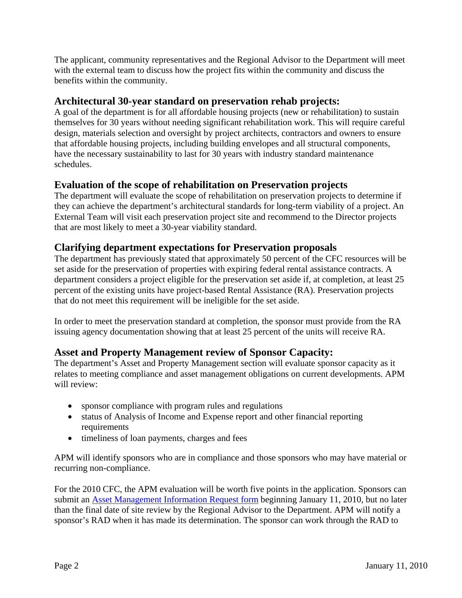The applicant, community representatives and the Regional Advisor to the Department will meet with the external team to discuss how the project fits within the community and discuss the benefits within the community.

# **Architectural 30-year standard on preservation rehab projects:**

A goal of the department is for all affordable housing projects (new or rehabilitation) to sustain themselves for 30 years without needing significant rehabilitation work. This will require careful design, materials selection and oversight by project architects, contractors and owners to ensure that affordable housing projects, including building envelopes and all structural components, have the necessary sustainability to last for 30 years with industry standard maintenance schedules.

# **Evaluation of the scope of rehabilitation on Preservation projects**

The department will evaluate the scope of rehabilitation on preservation projects to determine if they can achieve the department's architectural standards for long-term viability of a project. An External Team will visit each preservation project site and recommend to the Director projects that are most likely to meet a 30-year viability standard.

### **Clarifying department expectations for Preservation proposals**

The department has previously stated that approximately 50 percent of the CFC resources will be set aside for the preservation of properties with expiring federal rental assistance contracts. A department considers a project eligible for the preservation set aside if, at completion, at least 25 percent of the existing units have project-based Rental Assistance (RA). Preservation projects that do not meet this requirement will be ineligible for the set aside.

In order to meet the preservation standard at completion, the sponsor must provide from the RA issuing agency documentation showing that at least 25 percent of the units will receive RA.

# **Asset and Property Management review of Sponsor Capacity:**

The department's Asset and Property Management section will evaluate sponsor capacity as it relates to meeting compliance and asset management obligations on current developments. APM will review:

- sponsor compliance with program rules and regulations
- status of Analysis of Income and Expense report and other financial reporting requirements
- timeliness of loan payments, charges and fees

APM will identify sponsors who are in compliance and those sponsors who may have material or recurring non-compliance.

For the 2010 CFC, the APM evaluation will be worth five points in the application. Sponsors can submit an [Asset Management Information Request form](http://www.ohcs.oregon.gov/OHCS/HD/HRS/CFCApp/Asset_Management_Information_Request_Form.doc) beginning January 11, 2010, but no later than the final date of site review by the Regional Advisor to the Department. APM will notify a sponsor's RAD when it has made its determination. The sponsor can work through the RAD to